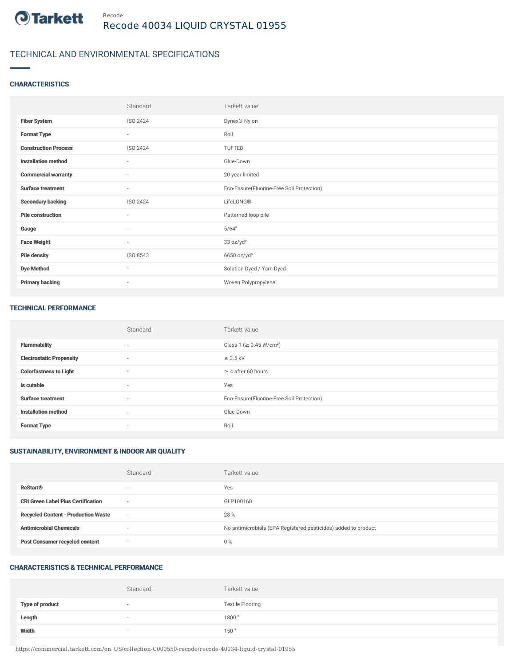

# TECHNICAL AND ENVIRONMENTAL SPECIFICATIONS

## **CHARACTERISTICS**

|                             | Standard                 | Tarkett value                             |
|-----------------------------|--------------------------|-------------------------------------------|
| <b>Fiber System</b>         | ISO 2424                 | Dynex® Nylon                              |
| <b>Format Type</b>          | $\sim$                   | Roll                                      |
| <b>Construction Process</b> | ISO 2424                 | TUFTED                                    |
| <b>Installation method</b>  | $\sim$                   | Glue-Down                                 |
| <b>Commercial warranty</b>  | $\sim$                   | 20 year limited                           |
| <b>Surface treatment</b>    | $\sim$                   | Eco-Ensure(Fluorine-Free Soil Protection) |
| <b>Secondary backing</b>    | ISO 2424                 | LifeLONG®                                 |
| <b>Pile construction</b>    | $\sim$                   | Patterned loop pile                       |
| Gauge                       | $\overline{\phantom{a}}$ | 5/64"                                     |
| <b>Face Weight</b>          | $\sim$                   | 33 oz/yd <sup>2</sup>                     |
| <b>Pile density</b>         | ISO 8543                 | $6650$ oz/yd <sup>3</sup>                 |
| <b>Dye Method</b>           | $\sim$                   | Solution Dyed / Yarn Dyed                 |
| <b>Primary backing</b>      | $\sim$                   | Woven Polypropylene                       |

#### TECHNICAL PERFORMANCE

|                                 | Standard                 | Tarkett value                             |
|---------------------------------|--------------------------|-------------------------------------------|
| <b>Flammability</b>             | $\overline{\phantom{a}}$ | Class 1 (≥ 0.45 W/cm <sup>2</sup> )       |
| <b>Electrostatic Propensity</b> | $\overline{a}$           | $\leq$ 3.5 kV                             |
| <b>Colorfastness to Light</b>   | $\sim$                   | $\geq$ 4 after 60 hours                   |
| Is cutable                      | $\sim$                   | Yes                                       |
| <b>Surface treatment</b>        | $\sim$                   | Eco-Ensure(Fluorine-Free Soil Protection) |
| <b>Installation method</b>      | $\overline{\phantom{a}}$ | Glue-Down                                 |
| <b>Format Type</b>              | $\sim$                   | Roll                                      |

# SUSTAINABILITY, ENVIRONMENT & INDOOR AIR QUALITY

|                                            | Standard                 | Tarkett value                                                  |
|--------------------------------------------|--------------------------|----------------------------------------------------------------|
| <b>ReStart®</b>                            | $\overline{\phantom{a}}$ | Yes                                                            |
| <b>CRI Green Label Plus Certification</b>  | $\sim$                   | GLP100160                                                      |
| <b>Recycled Content - Production Waste</b> | $\sim$                   | 28 %                                                           |
| <b>Antimicrobial Chemicals</b>             | -                        | No antimicrobials (EPA Registered pesticides) added to product |
| <b>Post Consumer recycled content</b>      | $\sim$                   | $0\%$                                                          |

## CHARACTERISTICS & TECHNICAL PERFORMANCE

|                        | Standard                 | Tarkett value           |
|------------------------|--------------------------|-------------------------|
| <b>Type of product</b> | $\overline{\phantom{a}}$ | <b>Textile Flooring</b> |
| Length                 |                          | 1800"                   |
| Width                  | $\sim$                   | 150"                    |

https://commercial.tarkett.com/en\_US/collection-C000550-recode/recode-40034-liquid-crystal-01955